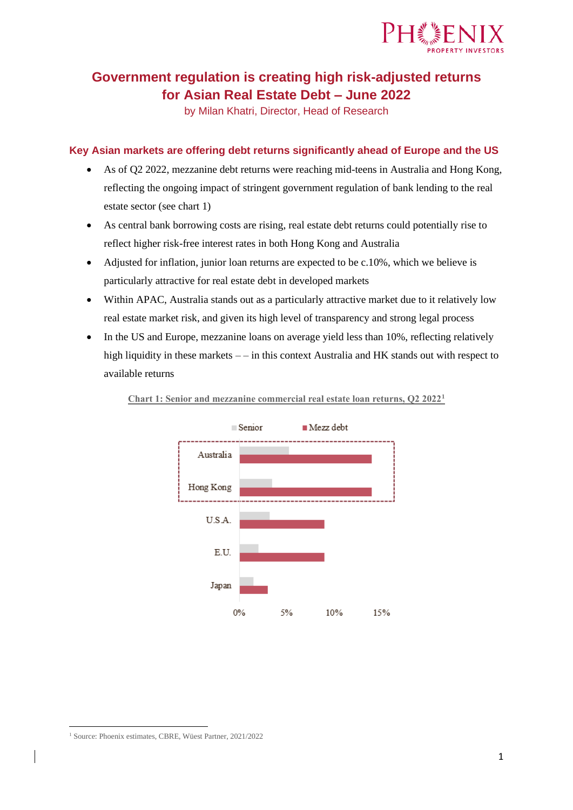

# **Government regulation is creating high risk-adjusted returns for Asian Real Estate Debt – June 2022**

by Milan Khatri, Director, Head of Research

### **Key Asian markets are offering debt returns significantly ahead of Europe and the US**

- As of Q2 2022, mezzanine debt returns were reaching mid-teens in Australia and Hong Kong, reflecting the ongoing impact of stringent government regulation of bank lending to the real estate sector (see chart 1)
- As central bank borrowing costs are rising, real estate debt returns could potentially rise to reflect higher risk-free interest rates in both Hong Kong and Australia
- Adjusted for inflation, junior loan returns are expected to be c.10%, which we believe is particularly attractive for real estate debt in developed markets
- Within APAC, Australia stands out as a particularly attractive market due to it relatively low real estate market risk, and given its high level of transparency and strong legal process
- In the US and Europe, mezzanine loans on average yield less than 10%, reflecting relatively high liquidity in these markets  $-$  – in this context Australia and HK stands out with respect to available returns



**Chart 1: Senior and mezzanine commercial real estate loan returns, Q2 2022<sup>1</sup>**

<sup>1</sup> Source: Phoenix estimates, CBRE, Wüest Partner, 2021/2022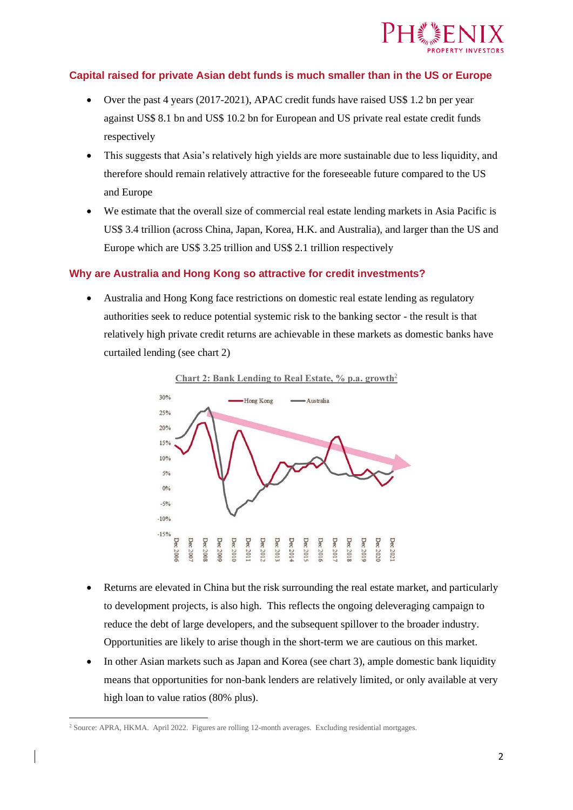

### **Capital raised for private Asian debt funds is much smaller than in the US or Europe**

- Over the past 4 years (2017-2021), APAC credit funds have raised US\$ 1.2 bn per year against US\$ 8.1 bn and US\$ 10.2 bn for European and US private real estate credit funds respectively
- This suggests that Asia's relatively high yields are more sustainable due to less liquidity, and therefore should remain relatively attractive for the foreseeable future compared to the US and Europe
- We estimate that the overall size of commercial real estate lending markets in Asia Pacific is US\$ 3.4 trillion (across China, Japan, Korea, H.K. and Australia), and larger than the US and Europe which are US\$ 3.25 trillion and US\$ 2.1 trillion respectively

### **Why are Australia and Hong Kong so attractive for credit investments?**

• Australia and Hong Kong face restrictions on domestic real estate lending as regulatory authorities seek to reduce potential systemic risk to the banking sector - the result is that relatively high private credit returns are achievable in these markets as domestic banks have curtailed lending (see chart 2)





- Returns are elevated in China but the risk surrounding the real estate market, and particularly to development projects, is also high. This reflects the ongoing deleveraging campaign to reduce the debt of large developers, and the subsequent spillover to the broader industry. Opportunities are likely to arise though in the short-term we are cautious on this market.
- In other Asian markets such as Japan and Korea (see chart 3), ample domestic bank liquidity means that opportunities for non-bank lenders are relatively limited, or only available at very high loan to value ratios (80% plus).

<sup>2</sup> Source: APRA, HKMA. April 2022. Figures are rolling 12-month averages. Excluding residential mortgages.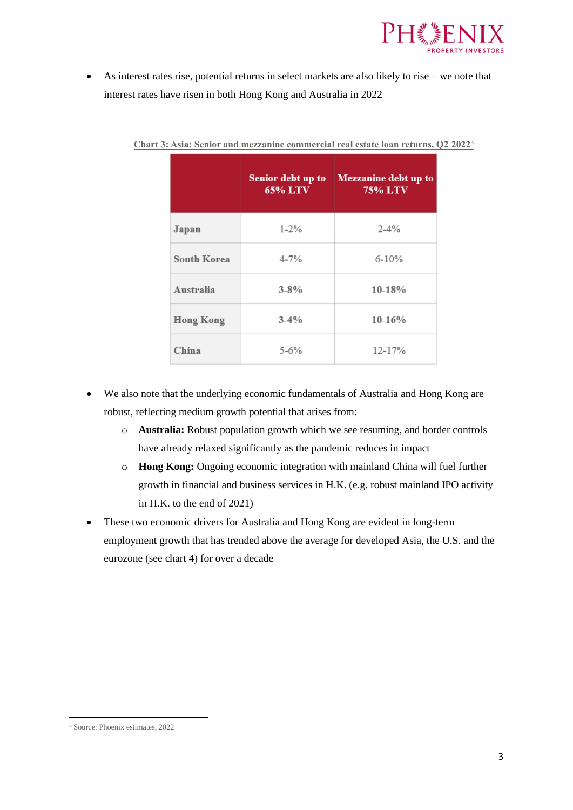

• As interest rates rise, potential returns in select markets are also likely to rise – we note that interest rates have risen in both Hong Kong and Australia in 2022

|                    | Senior debt up to<br><b>65% LTV</b> | Mezzanine debt up to<br><b>75% LTV</b> |  |
|--------------------|-------------------------------------|----------------------------------------|--|
| Japan              | $1 - 2\%$                           | $2 - 4%$                               |  |
| <b>South Korea</b> | $4 - 7%$                            | $6 - 10%$                              |  |
| Australia          | $3 - 8%$                            | $10 - 18%$                             |  |
| <b>Hong Kong</b>   | $3-4%$                              | $10-16%$                               |  |
| China              | $5 - 6\%$                           | 12-17%                                 |  |

**Chart 3: Asia: Senior and mezzanine commercial real estate loan returns, Q2 2022**<sup>3</sup>

- We also note that the underlying economic fundamentals of Australia and Hong Kong are robust, reflecting medium growth potential that arises from:
	- o **Australia:** Robust population growth which we see resuming, and border controls have already relaxed significantly as the pandemic reduces in impact
	- o **Hong Kong:** Ongoing economic integration with mainland China will fuel further growth in financial and business services in H.K. (e.g. robust mainland IPO activity in H.K. to the end of 2021)
- These two economic drivers for Australia and Hong Kong are evident in long-term employment growth that has trended above the average for developed Asia, the U.S. and the eurozone (see chart 4) for over a decade

<sup>3</sup> Source: Phoenix estimates, 2022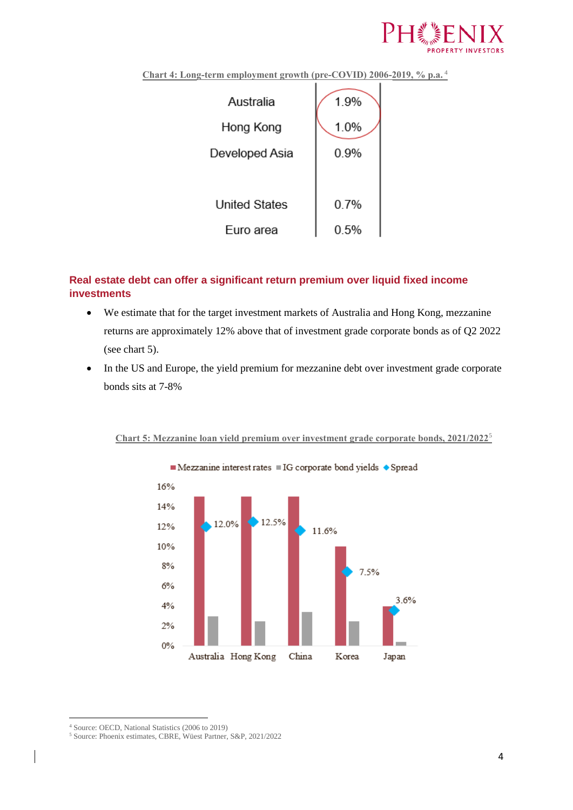

**Chart 4: Long-term employment growth (pre-COVID) 2006-2019, % p.a.** <sup>4</sup>



## **Real estate debt can offer a significant return premium over liquid fixed income investments**

- We estimate that for the target investment markets of Australia and Hong Kong, mezzanine returns are approximately 12% above that of investment grade corporate bonds as of Q2 2022 (see chart 5).
- In the US and Europe, the yield premium for mezzanine debt over investment grade corporate bonds sits at 7-8%



#### **Chart 5: Mezzanine loan yield premium over investment grade corporate bonds, 2021/2022**<sup>5</sup>

<sup>4</sup> Source: OECD, National Statistics (2006 to 2019)

<sup>5</sup> Source: Phoenix estimates, CBRE, Wüest Partner, S&P, 2021/2022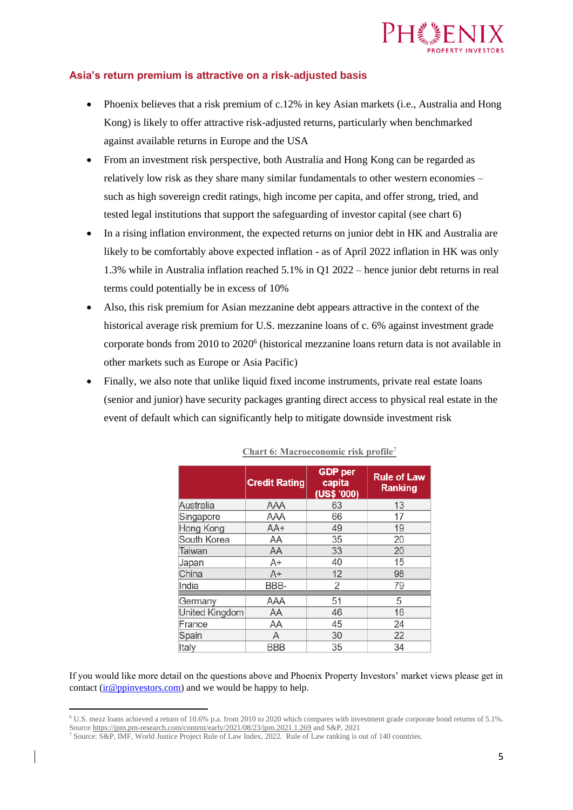

### **Asia's return premium is attractive on a risk-adjusted basis**

- Phoenix believes that a risk premium of c.12% in key Asian markets (i.e., Australia and Hong Kong) is likely to offer attractive risk-adjusted returns, particularly when benchmarked against available returns in Europe and the USA
- From an investment risk perspective, both Australia and Hong Kong can be regarded as relatively low risk as they share many similar fundamentals to other western economies – such as high sovereign credit ratings, high income per capita, and offer strong, tried, and tested legal institutions that support the safeguarding of investor capital (see chart 6)
- In a rising inflation environment, the expected returns on junior debt in HK and Australia are likely to be comfortably above expected inflation - as of April 2022 inflation in HK was only 1.3% while in Australia inflation reached 5.1% in Q1 2022 – hence junior debt returns in real terms could potentially be in excess of 10%
- Also, this risk premium for Asian mezzanine debt appears attractive in the context of the historical average risk premium for U.S. mezzanine loans of c. 6% against investment grade corporate bonds from 2010 to 2020<sup>6</sup> (historical mezzanine loans return data is not available in other markets such as Europe or Asia Pacific)
- Finally, we also note that unlike liquid fixed income instruments, private real estate loans (senior and junior) have security packages granting direct access to physical real estate in the event of default which can significantly help to mitigate downside investment risk

|                | <b>Credit Rating</b> | <b>GDP</b> per<br>capita<br>(US\$ '000) | <b>Rule of Law</b><br><b>Ranking</b> |
|----------------|----------------------|-----------------------------------------|--------------------------------------|
| Australia      | AAA                  | 63                                      | 13                                   |
| Singapore      | AAA                  | 66                                      | 17                                   |
| Hong Kong      | AA+                  | 49                                      | 19                                   |
| South Korea    | ΑA                   | 35                                      | 20                                   |
| Taiwan         | ΑA                   | 33                                      | 20                                   |
| Japan          | A+                   | 40                                      | 15                                   |
| China          | $A+$                 | 12                                      | 98                                   |
| India          | BBB-                 | 2                                       | 79                                   |
| Germany        | AAA                  | 51                                      | 5                                    |
| United Kingdom | ΑA                   | 46                                      | 16                                   |
| France         | ΑA                   | 45                                      | 24                                   |
| Spain          | A                    | 30                                      | 22                                   |
| Italy          | <b>BBB</b>           | 35                                      | 34                                   |

**Chart 6: Macroeconomic risk profile**<sup>7</sup>

If you would like more detail on the questions above and Phoenix Property Investors' market views please get in contact  $(i r@ppinvestors.com)$  and we would be happy to help.

<sup>6</sup> U.S. mezz loans achieved a return of 10.6% p.a. from 2010 to 2020 which compares with investment grade corporate bond returns of 5.1%. Sourc[e https://jpm.pm-research.com/content/early/2021/08/23/jpm.2021.1.269](https://jpm.pm-research.com/content/early/2021/08/23/jpm.2021.1.269) and S&P, 2021

<sup>7</sup> Source: S&P, IMF, World Justice Project Rule of Law Index, 2022. Rule of Law ranking is out of 140 countries.